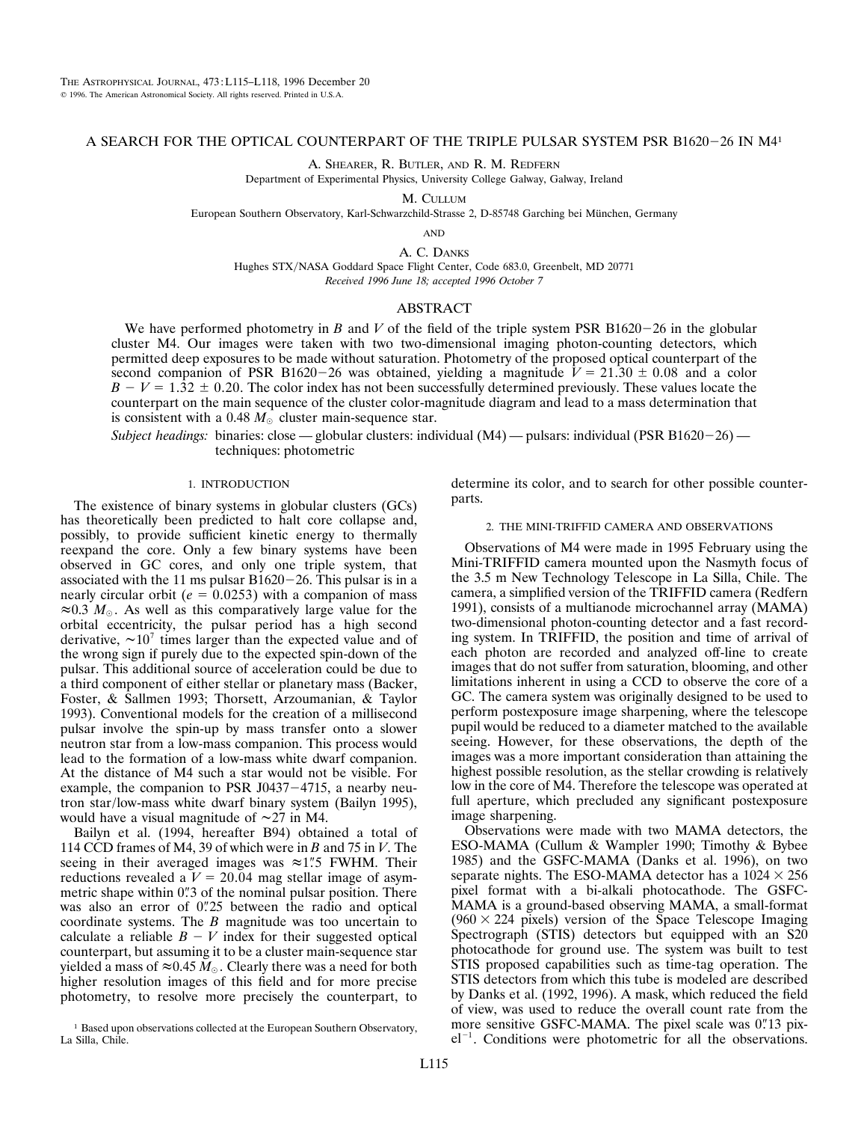# A SEARCH FOR THE OPTICAL COUNTERPART OF THE TRIPLE PULSAR SYSTEM PSR B1620-26 IN M4<sup>1</sup>

A. SHEARER, R. BUTLER, AND R. M. REDFERN

Department of Experimental Physics, University College Galway, Galway, Ireland

M. CULLUM

European Southern Observatory, Karl-Schwarzchild-Strasse 2, D-85748 Garching bei München, Germany

AND

A. C. DANKS Hughes STX/NASA Goddard Space Flight Center, Code 683.0, Greenbelt, MD 20771 *Received 1996 June 18; accepted 1996 October 7*

# ABSTRACT

We have performed photometry in *B* and *V* of the field of the triple system PSR B1620-26 in the globular cluster M4. Our images were taken with two two-dimensional imaging photon-counting detectors, which permitted deep exposures to be made without saturation. Photometry of the proposed optical counterpart of the second companion of PSR B1620-26 was obtained, yielding a magnitude  $V = 21.30 \pm 0.08$  and a color  $B - V = 1.32 \pm 0.20$ . The color index has not been successfully determined previously. These values locate the counterpart on the main sequence of the cluster color-magnitude diagram and lead to a mass determination that is consistent with a 0.48  $M_{\odot}$  cluster main-sequence star.

*Subject headings:* binaries: close — globular clusters: individual (M4) — pulsars: individual (PSR B1620-26) techniques: photometric

### 1. INTRODUCTION

The existence of binary systems in globular clusters (GCs) has theoretically been predicted to halt core collapse and, possibly, to provide sufficient kinetic energy to thermally reexpand the core. Only a few binary systems have been observed in GC cores, and only one triple system, that associated with the 11 ms pulsar  $B1620-26$ . This pulsar is in a nearly circular orbit ( $e = 0.0253$ ) with a companion of mass  $\approx 0.3$  *M*<sub> $\odot$ </sub>. As well as this comparatively large value for the orbital eccentricity, the pulsar period has a high second derivative,  $\sim 10^7$  times larger than the expected value and of the wrong sign if purely due to the expected spin-down of the pulsar. This additional source of acceleration could be due to a third component of either stellar or planetary mass (Backer, Foster, & Sallmen 1993; Thorsett, Arzoumanian, & Taylor 1993). Conventional models for the creation of a millisecond pulsar involve the spin-up by mass transfer onto a slower neutron star from a low-mass companion. This process would lead to the formation of a low-mass white dwarf companion. At the distance of M4 such a star would not be visible. For example, the companion to PSR J0437 $-4715$ , a nearby neutron star/low-mass white dwarf binary system (Bailyn 1995), would have a visual magnitude of  $\sim$ 27 in M4.

Bailyn et al. (1994, hereafter B94) obtained a total of 114 CCD frames of M4, 39 of which were in *B* and 75 in *V*. The seeing in their averaged images was  $\approx 1$ ". FWHM. Their reductions revealed a  $V = 20.04$  mag stellar image of asymmetric shape within 0"3 of the nominal pulsar position. There was also an error of 0.725 between the radio and optical coordinate systems. The *B* magnitude was too uncertain to calculate a reliable  $B - V$  index for their suggested optical counterpart, but assuming it to be a cluster main-sequence star yielded a mass of  $\approx 0.45 M_{\odot}$ . Clearly there was a need for both higher resolution images of this field and for more precise photometry, to resolve more precisely the counterpart, to determine its color, and to search for other possible counterparts.

# 2. THE MINI-TRIFFID CAMERA AND OBSERVATIONS

Observations of M4 were made in 1995 February using the Mini-TRIFFID camera mounted upon the Nasmyth focus of the 3.5 m New Technology Telescope in La Silla, Chile. The camera, a simplified version of the TRIFFID camera (Redfern 1991), consists of a multianode microchannel array (MAMA) two-dimensional photon-counting detector and a fast recording system. In TRIFFID, the position and time of arrival of each photon are recorded and analyzed off-line to create images that do not suffer from saturation, blooming, and other limitations inherent in using a CCD to observe the core of a GC. The camera system was originally designed to be used to perform postexposure image sharpening, where the telescope pupil would be reduced to a diameter matched to the available seeing. However, for these observations, the depth of the images was a more important consideration than attaining the highest possible resolution, as the stellar crowding is relatively low in the core of M4. Therefore the telescope was operated at full aperture, which precluded any significant postexposure image sharpening.

Observations were made with two MAMA detectors, the ESO-MAMA (Cullum & Wampler 1990; Timothy & Bybee 1985) and the GSFC-MAMA (Danks et al. 1996), on two separate nights. The ESO-MAMA detector has a  $1024 \times 256$ pixel format with a bi-alkali photocathode. The GSFC-MAMA is a ground-based observing MAMA, a small-format  $(960 \times 224$  pixels) version of the Space Telescope Imaging Spectrograph (STIS) detectors but equipped with an S20 photocathode for ground use. The system was built to test STIS proposed capabilities such as time-tag operation. The STIS detectors from which this tube is modeled are described by Danks et al. (1992, 1996). A mask, which reduced the field of view, was used to reduce the overall count rate from the more sensitive GSFC-MAMA. The pixel scale was 0. 13 pix $el^{-1}$ . Conditions were photometric for all the observations.

<sup>&</sup>lt;sup>1</sup> Based upon observations collected at the European Southern Observatory, La Silla, Chile.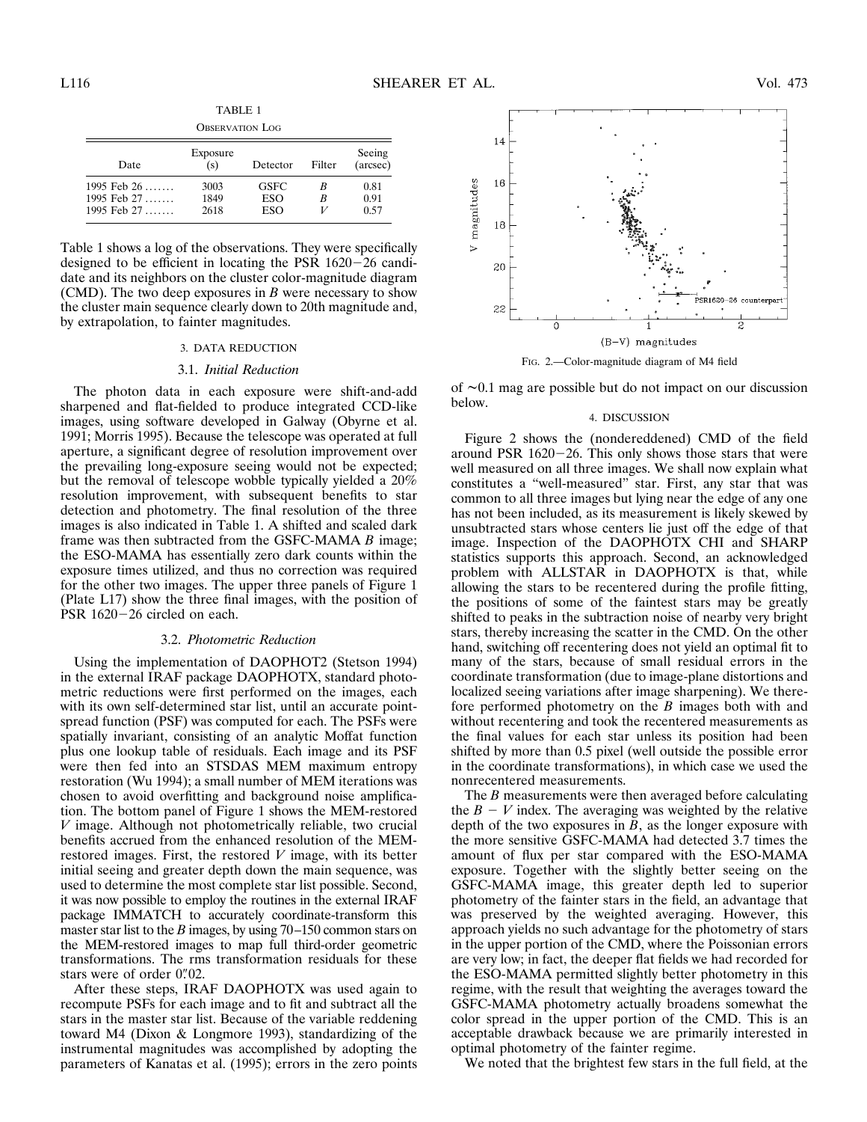TABLE 1 OBSERVATION LOG

| O DULINI ILIUI LUU                          |                      |                    |        |                      |  |  |  |  |  |
|---------------------------------------------|----------------------|--------------------|--------|----------------------|--|--|--|--|--|
| Date                                        | Exposure<br>(s)      | Detector           | Filter | Seeing<br>(arcsec)   |  |  |  |  |  |
| 1995 Feb 26<br>1995 Feb 27<br>1995 Feb $27$ | 3003<br>1849<br>2618 | GSFC<br>ESO<br>ESO | в<br>B | 0.81<br>0.91<br>0.57 |  |  |  |  |  |

Table 1 shows a log of the observations. They were specifically designed to be efficient in locating the PSR  $1620-26$  candidate and its neighbors on the cluster color-magnitude diagram (CMD). The two deep exposures in *B* were necessary to show the cluster main sequence clearly down to 20th magnitude and, by extrapolation, to fainter magnitudes.

# 3. DATA REDUCTION

#### 3.1. *Initial Reduction*

The photon data in each exposure were shift-and-add sharpened and flat-fielded to produce integrated CCD-like images, using software developed in Galway (Obyrne et al. 1991; Morris 1995). Because the telescope was operated at full aperture, a significant degree of resolution improvement over the prevailing long-exposure seeing would not be expected; but the removal of telescope wobble typically yielded a 20% resolution improvement, with subsequent benefits to star detection and photometry. The final resolution of the three images is also indicated in Table 1. A shifted and scaled dark frame was then subtracted from the GSFC-MAMA *B* image; the ESO-MAMA has essentially zero dark counts within the exposure times utilized, and thus no correction was required for the other two images. The upper three panels of Figure 1 (Plate L17) show the three final images, with the position of PSR  $1620-26$  circled on each.

# 3.2. *Photometric Reduction*

Using the implementation of DAOPHOT2 (Stetson 1994) in the external IRAF package DAOPHOTX, standard photometric reductions were first performed on the images, each with its own self-determined star list, until an accurate pointspread function (PSF) was computed for each. The PSFs were spatially invariant, consisting of an analytic Moffat function plus one lookup table of residuals. Each image and its PSF were then fed into an STSDAS MEM maximum entropy restoration (Wu 1994); a small number of MEM iterations was chosen to avoid overfitting and background noise amplification. The bottom panel of Figure 1 shows the MEM-restored *V* image. Although not photometrically reliable, two crucial benefits accrued from the enhanced resolution of the MEMrestored images. First, the restored *V* image, with its better initial seeing and greater depth down the main sequence, was used to determine the most complete star list possible. Second, it was now possible to employ the routines in the external IRAF package IMMATCH to accurately coordinate-transform this master star list to the *B* images, by using 70–150 common stars on the MEM-restored images to map full third-order geometric transformations. The rms transformation residuals for these stars were of order 0"02.

After these steps, IRAF DAOPHOTX was used again to recompute PSFs for each image and to fit and subtract all the stars in the master star list. Because of the variable reddening toward M4 (Dixon & Longmore 1993), standardizing of the instrumental magnitudes was accomplished by adopting the parameters of Kanatas et al. (1995); errors in the zero points



FIG. 2.—Color-magnitude diagram of M4 field

of  $\sim 0.1$  mag are possible but do not impact on our discussion below.

### 4. DISCUSSION

Figure 2 shows the (nondereddened) CMD of the field around PSR  $1620-26$ . This only shows those stars that were well measured on all three images. We shall now explain what constitutes a "well-measured" star. First, any star that was common to all three images but lying near the edge of any one has not been included, as its measurement is likely skewed by unsubtracted stars whose centers lie just off the edge of that image. Inspection of the DAOPHOTX CHI and SHARP statistics supports this approach. Second, an acknowledged problem with ALLSTAR in DAOPHOTX is that, while allowing the stars to be recentered during the profile fitting, the positions of some of the faintest stars may be greatly shifted to peaks in the subtraction noise of nearby very bright stars, thereby increasing the scatter in the CMD. On the other hand, switching off recentering does not yield an optimal fit to many of the stars, because of small residual errors in the coordinate transformation (due to image-plane distortions and localized seeing variations after image sharpening). We therefore performed photometry on the *B* images both with and without recentering and took the recentered measurements as the final values for each star unless its position had been shifted by more than 0.5 pixel (well outside the possible error in the coordinate transformations), in which case we used the nonrecentered measurements.

The *B* measurements were then averaged before calculating the  $B - V$  index. The averaging was weighted by the relative depth of the two exposures in *B*, as the longer exposure with the more sensitive GSFC-MAMA had detected 3.7 times the amount of flux per star compared with the ESO-MAMA exposure. Together with the slightly better seeing on the GSFC-MAMA image, this greater depth led to superior photometry of the fainter stars in the field, an advantage that was preserved by the weighted averaging. However, this approach yields no such advantage for the photometry of stars in the upper portion of the CMD, where the Poissonian errors are very low; in fact, the deeper flat fields we had recorded for the ESO-MAMA permitted slightly better photometry in this regime, with the result that weighting the averages toward the GSFC-MAMA photometry actually broadens somewhat the color spread in the upper portion of the CMD. This is an acceptable drawback because we are primarily interested in optimal photometry of the fainter regime.

We noted that the brightest few stars in the full field, at the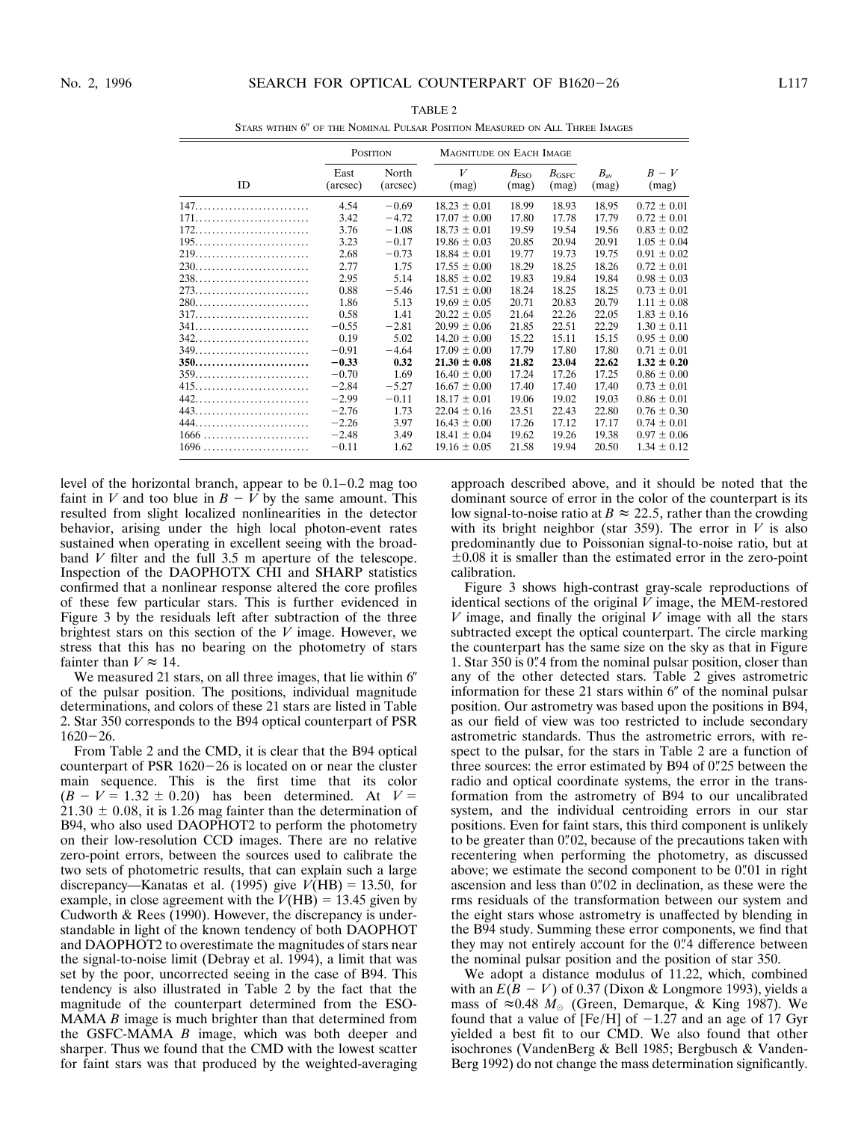|        | POSITION         |                   | MAGNITUDE ON EACH IMAGE |                           |                         |                       |                 |
|--------|------------------|-------------------|-------------------------|---------------------------|-------------------------|-----------------------|-----------------|
| ID     | East<br>(arcsec) | North<br>(arcsec) | V<br>(mag)              | $B_{\text{ESO}}$<br>(mag) | $B_{\rm GSFC}$<br>(mag) | $B_{\rm av}$<br>(mag) | $B-V$<br>(mag)  |
|        | 4.54             | $-0.69$           | $18.23 \pm 0.01$        | 18.99                     | 18.93                   | 18.95                 | $0.72 \pm 0.01$ |
|        | 3.42             | $-4.72$           | $17.07 \pm 0.00$        | 17.80                     | 17.78                   | 17.79                 | $0.72 \pm 0.01$ |
| 172.   | 3.76             | $-1.08$           | $18.73 \pm 0.01$        | 19.59                     | 19.54                   | 19.56                 | $0.83 \pm 0.02$ |
|        | 3.23             | $-0.17$           | $19.86 \pm 0.03$        | 20.85                     | 20.94                   | 20.91                 | $1.05 \pm 0.04$ |
|        | 2.68             | $-0.73$           | $18.84 \pm 0.01$        | 19.77                     | 19.73                   | 19.75                 | $0.91 \pm 0.02$ |
|        | 2.77             | 1.75              | $17.55 \pm 0.00$        | 18.29                     | 18.25                   | 18.26                 | $0.72 \pm 0.01$ |
|        | 2.95             | 5.14              | $18.85 \pm 0.02$        | 19.83                     | 19.84                   | 19.84                 | $0.98 \pm 0.03$ |
|        | 0.88             | $-5.46$           | $17.51 \pm 0.00$        | 18.24                     | 18.25                   | 18.25                 | $0.73 \pm 0.01$ |
| $280$  | 1.86             | 5.13              | $19.69 \pm 0.05$        | 20.71                     | 20.83                   | 20.79                 | $1.11 \pm 0.08$ |
|        | 0.58             | 1.41              | $20.22 \pm 0.05$        | 21.64                     | 22.26                   | 22.05                 | $1.83 \pm 0.16$ |
| 341.   | $-0.55$          | $-2.81$           | $20.99 \pm 0.06$        | 21.85                     | 22.51                   | 22.29                 | $1.30 \pm 0.11$ |
|        | 0.19             | 5.02              | $14.20 \pm 0.00$        | 15.22                     | 15.11                   | 15.15                 | $0.95 \pm 0.00$ |
|        | $-0.91$          | $-4.64$           | $17.09 \pm 0.00$        | 17.79                     | 17.80                   | 17.80                 | $0.71 \pm 0.01$ |
|        | $-0.33$          | 0.32              | $21.30 \pm 0.08$        | 21.82                     | 23.04                   | 22.62                 | $1.32 \pm 0.20$ |
|        | $-0.70$          | 1.69              | $16.40 \pm 0.00$        | 17.24                     | 17.26                   | 17.25                 | $0.86 \pm 0.00$ |
|        | $-2.84$          | $-5.27$           | $16.67 \pm 0.00$        | 17.40                     | 17.40                   | 17.40                 | $0.73 \pm 0.01$ |
| 442.   | $-2.99$          | $-0.11$           | $18.17 \pm 0.01$        | 19.06                     | 19.02                   | 19.03                 | $0.86 \pm 0.01$ |
|        | $-2.76$          | 1.73              | $22.04 \pm 0.16$        | 23.51                     | 22.43                   | 22.80                 | $0.76 \pm 0.30$ |
| 444.   | $-2.26$          | 3.97              | $16.43 \pm 0.00$        | 17.26                     | 17.12                   | 17.17                 | $0.74 \pm 0.01$ |
|        | $-2.48$          | 3.49              | $18.41 \pm 0.04$        | 19.62                     | 19.26                   | 19.38                 | $0.97 \pm 0.06$ |
| $1696$ | $-0.11$          | 1.62              | $19.16 \pm 0.05$        | 21.58                     | 19.94                   | 20.50                 | $1.34 \pm 0.12$ |

TABLE 2 STARS WITHIN 6" OF THE NOMINAL PULSAR POSITION MEASURED ON ALL THREE IMAGES

level of the horizontal branch, appear to be 0.1–0.2 mag too faint in *V* and too blue in  $B - V$  by the same amount. This resulted from slight localized nonlinearities in the detector behavior, arising under the high local photon-event rates sustained when operating in excellent seeing with the broadband *V* filter and the full 3.5 m aperture of the telescope. Inspection of the DAOPHOTX CHI and SHARP statistics confirmed that a nonlinear response altered the core profiles of these few particular stars. This is further evidenced in Figure 3 by the residuals left after subtraction of the three brightest stars on this section of the *V* image. However, we stress that this has no bearing on the photometry of stars fainter than  $V \approx 14$ .

We measured 21 stars, on all three images, that lie within  $6<sup>′</sup>$ of the pulsar position. The positions, individual magnitude determinations, and colors of these 21 stars are listed in Table 2. Star 350 corresponds to the B94 optical counterpart of PSR  $1620 - 26$ 

From Table 2 and the CMD, it is clear that the B94 optical counterpart of PSR  $1620-26$  is located on or near the cluster main sequence. This is the first time that its color  $(B - V = 1.32 \pm 0.20)$  has been determined. At  $V =$  $21.30 \pm 0.08$ , it is 1.26 mag fainter than the determination of B94, who also used DAOPHOT2 to perform the photometry on their low-resolution CCD images. There are no relative zero-point errors, between the sources used to calibrate the two sets of photometric results, that can explain such a large discrepancy—Kanatas et al. (1995) give  $V(HB) = 13.50$ , for example, in close agreement with the  $V(HB) = 13.45$  given by Cudworth & Rees (1990). However, the discrepancy is understandable in light of the known tendency of both DAOPHOT and DAOPHOT2 to overestimate the magnitudes of stars near the signal-to-noise limit (Debray et al. 1994), a limit that was set by the poor, uncorrected seeing in the case of B94. This tendency is also illustrated in Table 2 by the fact that the magnitude of the counterpart determined from the ESO-MAMA *B* image is much brighter than that determined from the GSFC-MAMA *B* image, which was both deeper and sharper. Thus we found that the CMD with the lowest scatter for faint stars was that produced by the weighted-averaging approach described above, and it should be noted that the dominant source of error in the color of the counterpart is its low signal-to-noise ratio at  $B \approx 22.5$ , rather than the crowding with its bright neighbor (star 359). The error in  $V$  is also predominantly due to Poissonian signal-to-noise ratio, but at  $\pm 0.08$  it is smaller than the estimated error in the zero-point calibration.

Figure 3 shows high-contrast gray-scale reproductions of identical sections of the original  $\overline{V}$  image, the MEM-restored *V* image, and finally the original *V* image with all the stars subtracted except the optical counterpart. The circle marking the counterpart has the same size on the sky as that in Figure 1. Star 350 is 0"4 from the nominal pulsar position, closer than any of the other detected stars. Table 2 gives astrometric information for these 21 stars within  $6$ " of the nominal pulsar position. Our astrometry was based upon the positions in B94, as our field of view was too restricted to include secondary astrometric standards. Thus the astrometric errors, with respect to the pulsar, for the stars in Table 2 are a function of three sources: the error estimated by B94 of 0"25 between the radio and optical coordinate systems, the error in the transformation from the astrometry of B94 to our uncalibrated system, and the individual centroiding errors in our star positions. Even for faint stars, this third component is unlikely to be greater than 0"02, because of the precautions taken with recentering when performing the photometry, as discussed above; we estimate the second component to be 0"01 in right ascension and less than 0"02 in declination, as these were the rms residuals of the transformation between our system and the eight stars whose astrometry is unaffected by blending in the B94 study. Summing these error components, we find that they may not entirely account for the 0"4 difference between the nominal pulsar position and the position of star 350.

We adopt a distance modulus of 11.22, which, combined with an  $E(B - V)$  of 0.37 (Dixon & Longmore 1993), yields a mass of  $\approx 0.48$  *M*<sub> $\odot$ </sub> (Green, Demarque, & King 1987). We found that a value of [Fe/H] of  $-1.27$  and an age of 17 Gyr yielded a best fit to our CMD. We also found that other isochrones (VandenBerg & Bell 1985; Bergbusch & Vanden-Berg 1992) do not change the mass determination significantly.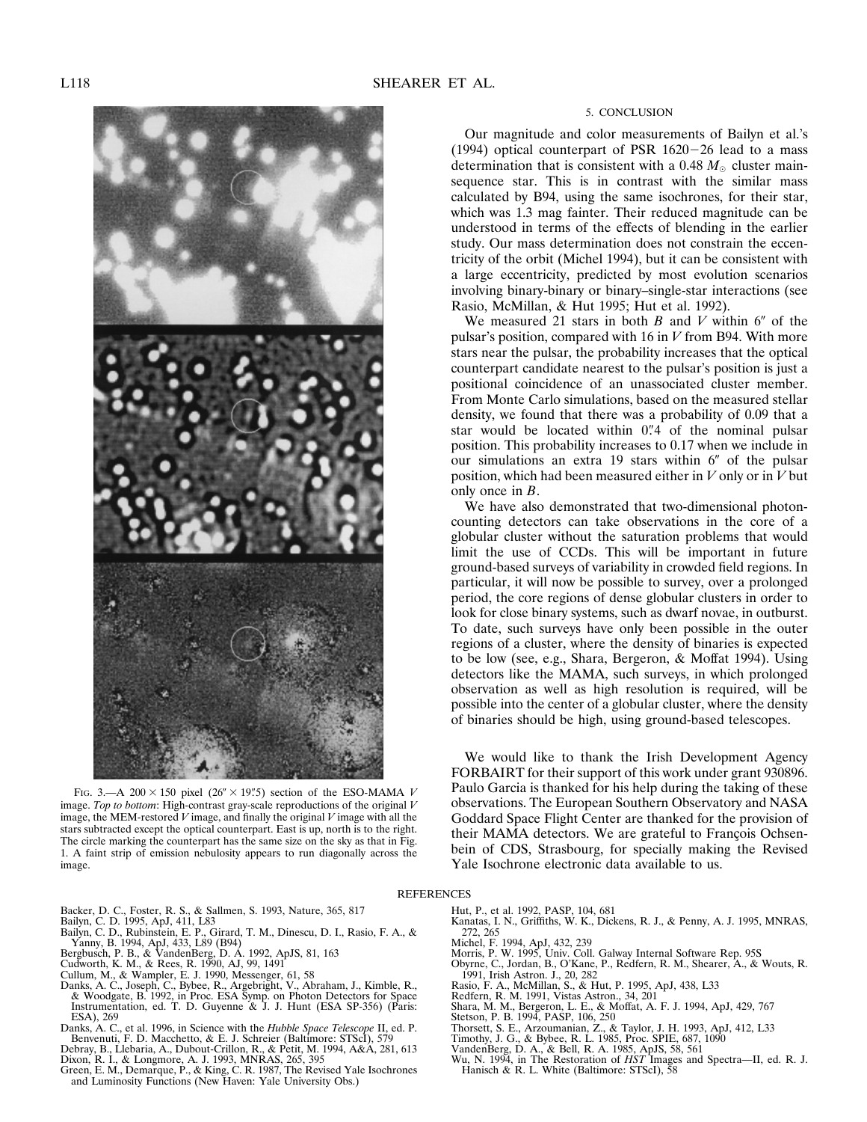

FIG. 3.—A  $200 \times 150$  pixel ( $26'' \times 19''$ .5) section of the ESO-MAMA *V* image. *Top to bottom*: High-contrast gray-scale reproductions of the original *V* image, the MEM-restored *V* image, and finally the original *V* image with all the stars subtracted except the optical counterpart. East is up, north is to the right. The circle marking the counterpart has the same size on the sky as that in Fig. 1. A faint strip of emission nebulosity appears to run diagonally across the image.

#### 5. CONCLUSION

Our magnitude and color measurements of Bailyn et al.'s (1994) optical counterpart of PSR  $1620-26$  lead to a mass determination that is consistent with a  $0.48 M_{\odot}$  cluster mainsequence star. This is in contrast with the similar mass calculated by B94, using the same isochrones, for their star, which was 1.3 mag fainter. Their reduced magnitude can be understood in terms of the effects of blending in the earlier study. Our mass determination does not constrain the eccentricity of the orbit (Michel 1994), but it can be consistent with a large eccentricity, predicted by most evolution scenarios involving binary-binary or binary–single-star interactions (see Rasio, McMillan, & Hut 1995; Hut et al. 1992).

We measured 21 stars in both  $B$  and  $V$  within  $6''$  of the pulsar's position, compared with 16 in *V* from B94. With more stars near the pulsar, the probability increases that the optical counterpart candidate nearest to the pulsar's position is just a positional coincidence of an unassociated cluster member. From Monte Carlo simulations, based on the measured stellar density, we found that there was a probability of 0.09 that a star would be located within 0"4 of the nominal pulsar position. This probability increases to 0.17 when we include in our simulations an extra 19 stars within  $6''$  of the pulsar position, which had been measured either in *V* only or in *V* but only once in *B*.

We have also demonstrated that two-dimensional photoncounting detectors can take observations in the core of a globular cluster without the saturation problems that would limit the use of CCDs. This will be important in future ground-based surveys of variability in crowded field regions. In particular, it will now be possible to survey, over a prolonged period, the core regions of dense globular clusters in order to look for close binary systems, such as dwarf novae, in outburst. To date, such surveys have only been possible in the outer regions of a cluster, where the density of binaries is expected to be low (see, e.g., Shara, Bergeron, & Moffat 1994). Using detectors like the MAMA, such surveys, in which prolonged observation as well as high resolution is required, will be possible into the center of a globular cluster, where the density of binaries should be high, using ground-based telescopes.

We would like to thank the Irish Development Agency FORBAIRT for their support of this work under grant 930896. Paulo Garcia is thanked for his help during the taking of these observations. The European Southern Observatory and NASA Goddard Space Flight Center are thanked for the provision of their MAMA detectors. We are grateful to François Ochsenbein of CDS, Strasbourg, for specially making the Revised Yale Isochrone electronic data available to us.

# **REFERENCES**

- 
- 
- Backer, D. C., Foster, R. S., & Sallmen, S. 1993, Nature, 365, 817<br>Bailyn, C. D., Rubinstein, E. P., Girard, T. M., Dinescu, D. I., Rasio, F. A., &<br>Bailyn, C. D., Rubinstein, E. P., Girard, T. M., Dinescu, D. I., Rasio, F.
- 
- 
- Cullum, M., & Wampler, E. J. 1990, Messenger, 61, 58
- Danks, A. C., Joseph, C., Bybee, R., Argebright, V., Abraham, J., Kimble, R., & Woodgate, B. 1992, in Proc. ESA Symp. on Photon Detectors for Space Instrumentation, ed. T. D. Guyenne & J. J. Hunt (ESA SP-356) (Paris: ESA), 269
- Danks, A. C., et al. 1996, in Science with the *Hubble Space Telescope* II, ed. P. Benvenuti, F. D. Macchetto, & E. J. Schreier (Baltimore: STScI), 579
- 
- Debray, B., Llebaria, A., Dubout-Crillon, R., & Petit, M. 1994, A&A, 281, 613<br>Dixon, R. I., & Longmore, A. J. 1993, MNRAS, 265, 395<br>Green, E. M., Demarque, P., & King, C. R. 1987, The Revised Yale Isochrones<br>and Luminosity
- Hut, P., et al. 1992, PASP, 104, 681
- Kanatas, I. N., Griffiths, W. K., Dickens, R. J., & Penny, A. J. 1995, MNRAS, 272, 265
- Michel, F. 1994, ApJ, 432, 239
- 
- Morris, P. W. 1995, Univ. Coll. Galway Internal Software Rep. 95S Obyrne, C., Jordan, B., O'Kane, P., Redfern, R. M., Shearer, A., & Wouts, R. 1991, Irish Astron. J., 20, 282
- 
- 
- Rasio, F. A., McMillan, S., & Hut, P. 1995, ApJ, 438, L33<br>Redfern, R. M. 1991, Vistas Astron., 34, 201<br>Shara, M. M., Bergeron, L. E., & Moffat, A. F. J. 1994, ApJ, 429, 767<br>Stetson, P. B. 1994, PASP, 106, 250
- 
- Thorsett, S. E., Arzoumanian, Z., & Taylor, J. H. 1993, ApJ, 412, L33
- Timothy, J. G., & Bybee, R. L. 1985, Proc. SPIE, 687, 1090
- 
- VandenBerg, D. A., & Bell, R. A. 1985, ApJS, 58, 561 Wu, N. 1994, in The Restoration of *HST* Images and Spectra—II, ed. R. J. Hanisch & R. L. White (Baltimore: STScI), 58